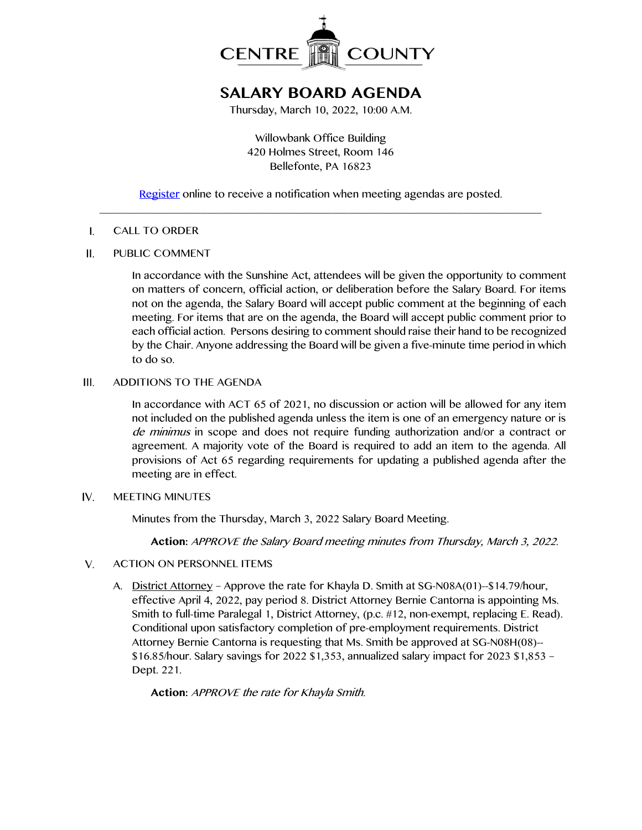

# **SALARY BOARD AGENDA**

Thursday, March 10, 2022, 10:00 A.M.

Willowbank Office Building 420 Holmes Street, Room 146 Bellefonte, PA 16823

[Register](http://www.centrecountypa.gov/AgendaCenter) online to receive a notification when meeting agendas are posted.  $\_$  , and the set of the set of the set of the set of the set of the set of the set of the set of the set of the set of the set of the set of the set of the set of the set of the set of the set of the set of the set of th

#### $\mathbf{I}$ . CALL TO ORDER

#### П. PUBLIC COMMENT

In accordance with the Sunshine Act, attendees will be given the opportunity to comment on matters of concern, official action, or deliberation before the Salary Board. For items not on the agenda, the Salary Board will accept public comment at the beginning of each meeting. For items that are on the agenda, the Board will accept public comment prior to each official action. Persons desiring to comment should raise their hand to be recognized by the Chair. Anyone addressing the Board will be given a five-minute time period in which to do so.

#### $III.$ ADDITIONS TO THE AGENDA

In accordance with ACT 65 of 2021, no discussion or action will be allowed for any item not included on the published agenda unless the item is one of an emergency nature or is de minimus in scope and does not require funding authorization and/or a contract or agreement. A majority vote of the Board is required to add an item to the agenda. All provisions of Act 65 regarding requirements for updating a published agenda after the meeting are in effect.

#### IV. MEETING MINUTES

Minutes from the Thursday, March 3, 2022 Salary Board Meeting.

**Action:** APPROVE the Salary Board meeting minutes from Thursday, March 3, 2022.

- $V_{\cdot}$ ACTION ON PERSONNEL ITEMS
	- A. District Attorney Approve the rate for Khayla D. Smith at SG-N08A(01)--\$14.79/hour, effective April 4, 2022, pay period 8. District Attorney Bernie Cantorna is appointing Ms. Smith to full-time Paralegal 1, District Attorney, (p.c. #12, non-exempt, replacing E. Read). Conditional upon satisfactory completion of pre-employment requirements. District Attorney Bernie Cantorna is requesting that Ms. Smith be approved at SG-N08H(08)-- \$16.85/hour. Salary savings for 2022 \$1,353, annualized salary impact for 2023 \$1,853 – Dept. 221.

**Action:** APPROVE the rate for Khayla Smith.